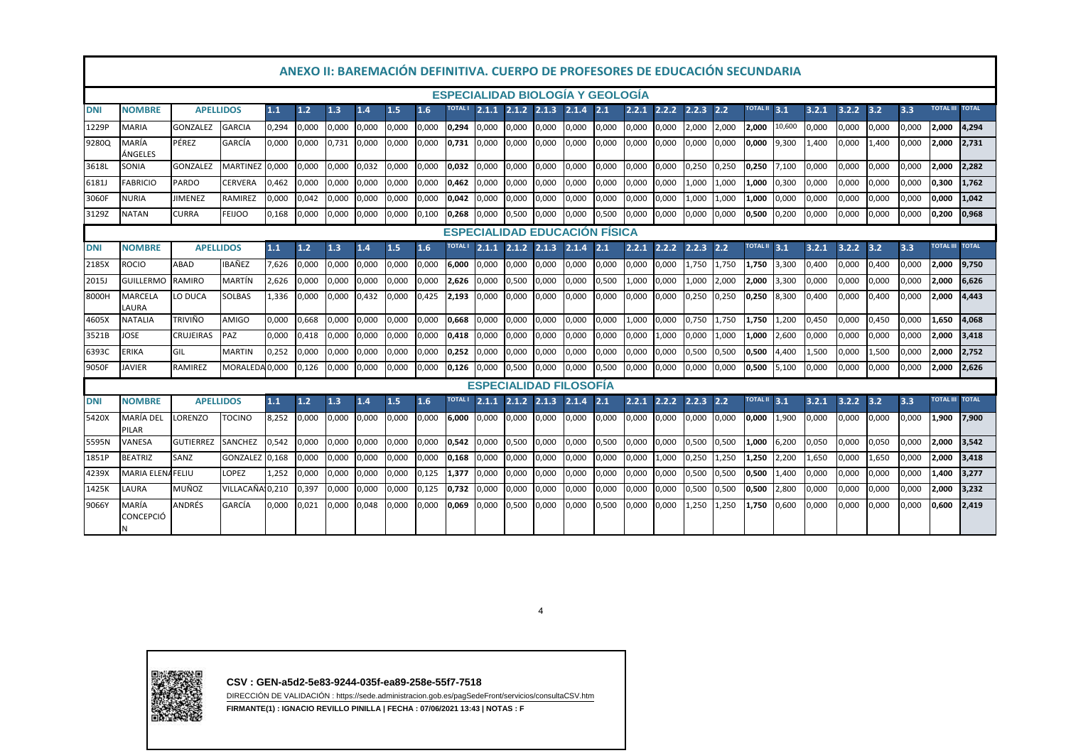|            |                                                                                                                                                                                                                                                                                                                      |                  |                  |       |       |       | ANEXO II: BAREMACIÓN DEFINITIVA. CUERPO DE PROFESORES DE EDUCACIÓN SECUNDARIA |       |       |                |       |       |                               |       |       |       |       |               |       |              |        |       |       |       |       |                        |       |
|------------|----------------------------------------------------------------------------------------------------------------------------------------------------------------------------------------------------------------------------------------------------------------------------------------------------------------------|------------------|------------------|-------|-------|-------|-------------------------------------------------------------------------------|-------|-------|----------------|-------|-------|-------------------------------|-------|-------|-------|-------|---------------|-------|--------------|--------|-------|-------|-------|-------|------------------------|-------|
|            | <b>ESPECIALIDAD BIOLOGÍA Y GEOLOGÍA</b><br><b>TOTAL III</b><br><b>TOTAL</b><br><b>TOTAL II</b><br><b>TOTAL I</b><br>$2.1.2$ $2.1.3$<br>$2.1.4$ $2.1$<br>2.2.2<br>$2.2.3$ 2.2<br>3.1<br>3.2.1<br>3.2.2<br>3.2<br>3.3<br><b>APELLIDOS</b><br>1.1<br>1.2<br>1.3<br>1.5<br>1.6<br>2.1.1<br>2.2.1<br><b>NOMBRE</b><br>1.4 |                  |                  |       |       |       |                                                                               |       |       |                |       |       |                               |       |       |       |       |               |       |              |        |       |       |       |       |                        |       |
| <b>DNI</b> |                                                                                                                                                                                                                                                                                                                      |                  |                  |       |       |       |                                                                               |       |       |                |       |       |                               |       |       |       |       |               |       |              |        |       |       |       |       |                        |       |
| 1229P      | <b>MARIA</b>                                                                                                                                                                                                                                                                                                         | <b>GONZALEZ</b>  | <b>GARCIA</b>    | 0,294 | 0,000 | 0,000 | 0,000                                                                         | 0,000 | 0,000 | 0,294          | 0,000 | 0,000 | 0,000                         | 0,000 | 0,000 | 0,000 | 0,000 | 2,000         | 2,000 | 2,000        | 10,600 | 0,000 | 0,000 | 0,000 | 0,000 | 2,000                  | 4,294 |
| 9280Q      | MARÍA<br>ÁNGELES                                                                                                                                                                                                                                                                                                     | PÉREZ            | GARCÍA           | 0,000 | 0,000 | 0,731 | 0,000                                                                         | 0,000 | 0,000 | 0,731          | 0,000 | 0,000 | 0,000                         | 0,000 | 0,000 | 0,000 | 0,000 | 0,000         | 0,000 | 0,000        | 9,300  | 1,400 | 0,000 | 1,400 | 0,000 | 2,000                  | 2,731 |
| 3618L      | SONIA                                                                                                                                                                                                                                                                                                                | <b>GONZALEZ</b>  | MARTINEZ         | 0,000 | 0,000 | 0,000 | 0,032                                                                         | 0,000 | 0,000 | 0,032          | 0,000 | 0,000 | 0,000                         | 0,000 | 0,000 | 0,000 | 0,000 | 0,250         | 0,250 | 0,250        | 7,100  | 0,000 | 0,000 | 0,000 | 0,000 | 2,000                  | 2,282 |
| 6181J      | <b>FABRICIO</b>                                                                                                                                                                                                                                                                                                      | PARDO            | <b>CERVERA</b>   | 0.462 | 0,000 | 0.000 | 0,000                                                                         | 0,000 | 0,000 | 0,462          | 0.000 | 0,000 | 0,000                         | 0,000 | 0,000 | 0,000 | 0,000 | 1,000         | 1.000 | 1.000        | 0,300  | 0.000 | 0,000 | 0.000 | 0,000 | 0,300                  | 1.762 |
| 3060F      | <b>NURIA</b>                                                                                                                                                                                                                                                                                                         | <b>JIMENEZ</b>   | <b>RAMIREZ</b>   | 0,000 | 0,042 | 0,000 | 0,000                                                                         | 0,000 | 0,000 | 0,042          | 0,000 | 0,000 | 0,000                         | 0,000 | 0,000 | 0,000 | 0,000 | 1,000         | 1,000 | 1,000        | 0,000  | 0,000 | 0,000 | 0,000 | 0,000 | 0,000                  | 1,042 |
| 3129Z      | NATAN                                                                                                                                                                                                                                                                                                                | <b>CURRA</b>     | <b>FEIJOO</b>    | 0,168 | 0,000 | 0,000 | 0,000                                                                         | 0,000 | 0,100 | 0,268          | 0,000 | 0,500 | 0,000                         | 0,000 | 0,500 | 0,000 | 0,000 | 0,000         | 0,000 | 0,500        | 0,200  | 0,000 | 0,000 | 0,000 | 0,000 | 0,200                  | 0,968 |
|            | <b>ESPECIALIDAD EDUCACIÓN FÍSICA</b>                                                                                                                                                                                                                                                                                 |                  |                  |       |       |       |                                                                               |       |       |                |       |       |                               |       |       |       |       |               |       |              |        |       |       |       |       |                        |       |
| <b>DNI</b> | <b>NOMBRE</b>                                                                                                                                                                                                                                                                                                        | <b>APELLIDOS</b> |                  | 1.1   | 1.2   | 1.3   | $1.4$                                                                         | 1.5   | 1.6   | <b>TOTAL I</b> | 2.1.1 | 2.1.2 | 2.1.3                         | 2.1.4 | 2.1   | 2.2.1 | 2.2.2 | $2.2.3$ $2.2$ |       | TOTAL II 3.1 |        | 3.2.1 | 3.2.2 | 3.2   | 3.3   | <b>TOTAL III TOTAL</b> |       |
| 2185X      | <b>ROCIO</b>                                                                                                                                                                                                                                                                                                         | ABAD             | IBAÑEZ           | 7,626 | 0,000 | 0,000 | 0,000                                                                         | 0,000 | 0,000 | 6,000          | 0,000 | 0,000 | 0,000                         | 0,000 | 0,000 | 0,000 | 0,000 | 1,750         | 1,750 | 1,750        | 3,300  | 0,400 | 0,000 | 0,400 | 0,000 | 2,000                  | 9,750 |
| 2015J      | <b>GUILLERMO</b>                                                                                                                                                                                                                                                                                                     | <b>RAMIRO</b>    | MARTÍN           | 2,626 | 0,000 | 0,000 | 0,000                                                                         | 0,000 | 0,000 | 2,626          | 0,000 | 0,500 | 0,000                         | 0,000 | 0,500 | 1,000 | 0,000 | 1,000         | 2,000 | 2,000        | 3,300  | 0,000 | 0,000 | 0,000 | 0,000 | 2,000                  | 6,626 |
| 8000H      | <b>MARCELA</b><br>LAURA                                                                                                                                                                                                                                                                                              | LO DUCA          | SOLBAS           | 1,336 | 0,000 | 0,000 | 0,432                                                                         | 0,000 | 0,425 | 2,193          | 0,000 | 0,000 | 0,000                         | 0,000 | 0,000 | 0,000 | 0,000 | 0,250         | 0,250 | 0,250        | 8,300  | 0,400 | 0,000 | 0,400 | 0,000 | 2,000                  | 4,443 |
| 4605X      | NATALIA                                                                                                                                                                                                                                                                                                              | <b>TRIVIÑO</b>   | AMIGO            | 0,000 | 0,668 | 0.000 | 0,000                                                                         | 0,000 | 0,000 | 10.668         | 0.000 | 0,000 | 0,000                         | 0,000 | 0,000 | 1,000 | 0,000 | 0,750         | 1.750 | 1,750        | 1,200  | 0,450 | 0,000 | 0,450 | 0,000 | 1,650                  | 4.068 |
| 3521B      | JOSE                                                                                                                                                                                                                                                                                                                 | <b>CRUJEIRAS</b> | PAZ              | 0,000 | 0,418 | 0,000 | 0,000                                                                         | 0,000 | 0,000 | 0,418          | 0.000 | 0,000 | 0,000                         | 0,000 | 0,000 | 0,000 | 1,000 | 0,000         | 1,000 | 1.000        | 2,600  | 0,000 | 0,000 | 0.000 | 0,000 | 2,000                  | 3.418 |
| 6393C      | <b>ERIKA</b>                                                                                                                                                                                                                                                                                                         | GIL              | <b>MARTIN</b>    | 0,252 | 0,000 | 0,000 | 0,000                                                                         | 0,000 | 0,000 | 0,252          | 0,000 | 0,000 | 0,000                         | 0,000 | 0,000 | 0,000 | 0,000 | 0,500         | 0,500 | 0,500        | 4,400  | 1,500 | 0,000 | 1,500 | 0,000 | 2,000                  | 2,752 |
| 9050F      | JAVIER                                                                                                                                                                                                                                                                                                               | <b>RAMIREZ</b>   | MORALEDA 0.000   |       | 0,126 | 0,000 | 0,000                                                                         | 0,000 | 0,000 | 0,126          | 0.000 | 0,500 | 0.000                         | 0,000 | 0,500 | 0,000 | 0,000 | 0,000         | 0,000 | 0,500        | 5,100  | 0.000 | 0,000 | 0,000 | 0,000 | 2,000                  | 2.626 |
|            |                                                                                                                                                                                                                                                                                                                      |                  |                  |       |       |       |                                                                               |       |       |                |       |       | <b>ESPECIALIDAD FILOSOFIA</b> |       |       |       |       |               |       |              |        |       |       |       |       |                        |       |
| <b>DNI</b> | <b>NOMBRE</b>                                                                                                                                                                                                                                                                                                        | <b>APELLIDOS</b> |                  | $1.1$ | 1.2   | 1.3   | 1.4                                                                           | 1.5   | 1.6   | <b>TOTAL I</b> | 2.1.1 | 2.1.2 | 2.1.3                         | 2.1.4 | 2.1   | 2.2.1 | 2.2.2 | $2.2.3$ 2.2   |       | TOTAL II 3.1 |        | 3.2.1 | 3.2.2 | 3.2   | 3.3   | <b>TOTAL III TOTAL</b> |       |
| 5420X      | MARÍA DEL<br>PILAR                                                                                                                                                                                                                                                                                                   | LORENZO          | TOCINO           | 8,252 | 0,000 | 0,000 | 0,000                                                                         | 0,000 | 0,000 | 6,000          | 0,000 | 0,000 | 0,000                         | 0,000 | 0,000 | 0,000 | 0,000 | 0,000         | 0,000 | 0,000        | 1,900  | 0,000 | 0,000 | 0,000 | 0,000 | 1,900                  | 7,900 |
| 5595N      | VANESA                                                                                                                                                                                                                                                                                                               | <b>GUTIERREZ</b> | SANCHEZ          | 0,542 | 0,000 | 0,000 | 0,000                                                                         | 0,000 | 0,000 | 0,542          | 0,000 | 0,500 | 0,000                         | 0,000 | 0,500 | 0,000 | 0,000 | 0,500         | 0.500 | 1,000        | 6,200  | 0,050 | 0,000 | 0,050 | 0,000 | 2,000                  | 3,542 |
| 1851P      | <b>BEATRIZ</b>                                                                                                                                                                                                                                                                                                       | SANZ             | <b>GONZALEZ</b>  | 0.168 | 0,000 | 0.000 | 0,000                                                                         | 0.000 | 0,000 | 0,168          | 0.000 | 0,000 | 0,000                         | 0,000 | 0,000 | 0,000 | 1,000 | 0,250         | 1.250 | 1,250        | 2,200  | 1.650 | 0,000 | 1,650 | 0,000 | 2,000                  | 3.418 |
| 4239X      | MARIA ELENAFELIU                                                                                                                                                                                                                                                                                                     |                  | <b>LOPEZ</b>     | 1.252 | 0,000 | 0.000 | 0,000                                                                         | 0,000 | 0,125 | 1,377          | 0.000 | 0.000 | 0,000                         | 0,000 | 0,000 | 0,000 | 0,000 | 0,500         | 0,500 | 0,500        | 1.400  | 0,000 | 0,000 | 0,000 | 0,000 | 1,400                  | 3,277 |
| 1425K      | LAURA                                                                                                                                                                                                                                                                                                                | <b>MUÑOZ</b>     | VILLACAÑA, 0,210 |       | 0,397 | 0,000 | 0,000                                                                         | 0,000 | 0,125 | 0,732          | 0,000 | 0,000 | 0,000                         | 0,000 | 0,000 | 0,000 | 0,000 | 0,500         | 0,500 | 0,500        | 2,800  | 0,000 | 0,000 | 0,000 | 0,000 | 2,000                  | 3,232 |
| 9066Y      | MARÍA<br>CONCEPCIÓ                                                                                                                                                                                                                                                                                                   | ANDRÉS           | GARCÍA           | 0.000 | 0.021 | 0.000 | 0.048                                                                         | 0.000 | 0.000 | 10.069         | 0.000 | 0.500 | 0.000                         | 0.000 | 0.500 | 0.000 | 0.000 | 1,250         | 1,250 | 1.750        | 0.600  | 0.000 | 0.000 | 0.000 | 0.000 | 0.600                  | 2.419 |

4



**CSV : GEN-a5d2-5e83-9244-035f-ea89-258e-55f7-7518**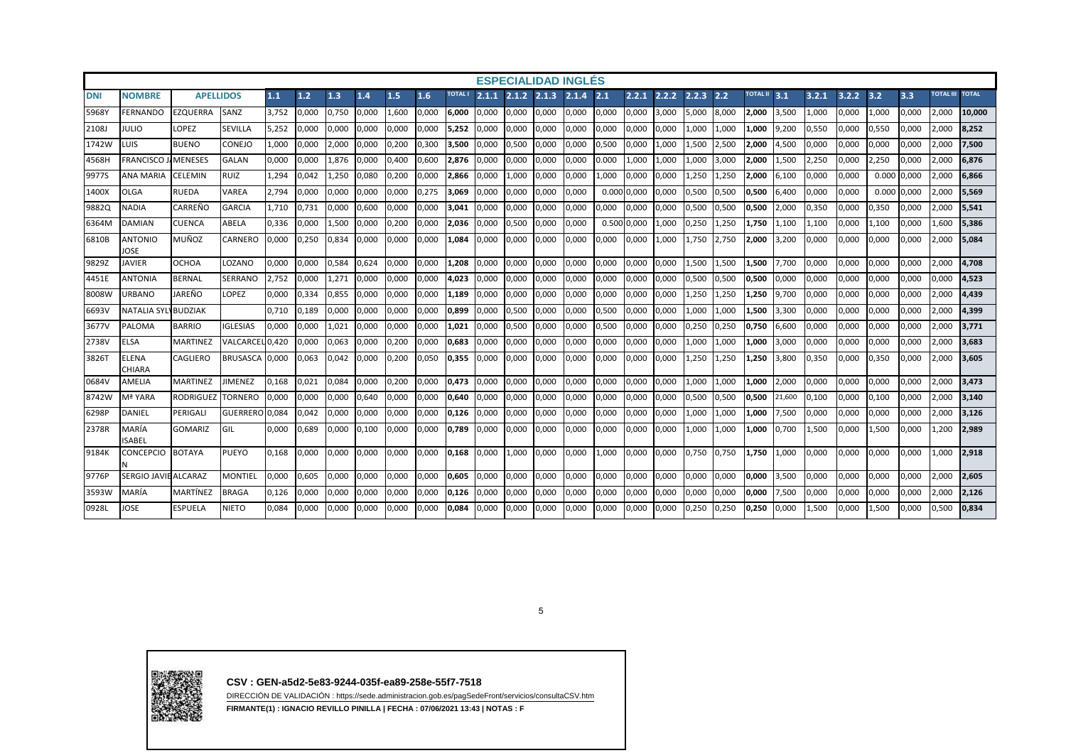|            |                               |                  |                 |       |       |       |       |       |       |                |       |       | <b>ESPECIALIDAD INGLÉS</b> |       |       |       |       |       |       |                          |        |       |       |       |       |                        |        |
|------------|-------------------------------|------------------|-----------------|-------|-------|-------|-------|-------|-------|----------------|-------|-------|----------------------------|-------|-------|-------|-------|-------|-------|--------------------------|--------|-------|-------|-------|-------|------------------------|--------|
| <b>DNI</b> | <b>NOMBRE</b>                 | <b>APELLIDOS</b> |                 | 1.1   | 1.2   | 1.3   | 1.4   | 1.5   | 1.6   | <b>TOTAL I</b> | 2.1.1 | 2.1.2 | 2.1.3                      | 2.1.4 | 2.1   | 2.2.1 | 2.2.2 | 2.2.3 | 2.2   | TOTAL $\overline{1}$ 3.1 |        | 3.2.1 | 3.2.2 | 3.2   | 3.3   | <b>TOTAL III TOTAL</b> |        |
| 5968Y      | <b>FERNANDO</b>               | EZQUERRA         | SANZ            | 3,752 | 0,000 | 0,750 | 0,000 | 1.600 | 0,000 | 6.000          | 0,000 | 0,000 | 0,000                      | 0,000 | 0,000 | 0,000 | 3,000 | 5,000 | 8,000 | 2,000                    | 3,500  | 1,000 | 0,000 | 1,000 | 0,000 | 2,000                  | 10.000 |
| 2108J      | JULIO                         | <b>LOPEZ</b>     | <b>SEVILLA</b>  | 5.252 | 0,000 | 0,000 | 0.000 | 0.000 | 0,000 | 5,252          | 0.000 | 0,000 | 0,000                      | 0,000 | 0,000 | 0,000 | 0,000 | L,000 | 1,000 | L,000                    | 9,200  | 0,550 | 0,000 | 0,550 | 0.000 | 2,000                  | 8.252  |
| 1742W      | LUIS                          | <b>BUENO</b>     | CONEJO          | 1,000 | 0,000 | 2,000 | 0,000 | 0,200 | 0,300 | 3,500          | 0,000 | 0,500 | 0,000                      | 0,000 | 0,500 | 0,000 | 1,000 | L,500 | 2,500 | 2,000                    | 4,500  | 0,000 | 0,000 | 0.000 | 0,000 | 2,000                  | 7,500  |
| 4568H      | <b>FRANCISCO</b>              | <b>MENESES</b>   | <b>GALAN</b>    | 0,000 | 0,000 | 1,876 | 0,000 | 0.400 | 0,600 | 2,876          | 0.000 | 0,000 | 0,000                      | 0,000 | 0.000 | 1,000 | 1,000 | 1,000 | 3,000 | 2.000                    | 1,500  | 2,250 | 0,000 | 2,250 | 0,000 | 2,000                  | 6,876  |
| 9977S      | <b>ANA MARIA</b>              | CELEMIN          | <b>RUIZ</b>     | 1.294 | 0,042 | 1,250 | 0,080 | 0,200 | 0,000 | 2.866          | 0.000 | 1.000 | 0,000                      | 0,000 | 1,000 | 0,000 | 0,000 | 1,250 | 1,250 | 2.000                    | 6,100  | 0,000 | 0.000 | 0.000 | 0.000 | 2.000                  | 6.866  |
| 1400X      | <b>OLGA</b>                   | RUEDA            | VAREA           | 2,794 | 0,000 | 0,000 | 0,000 | 0.000 | 0,275 | 3,069          | 0.000 | 0,000 | 0,000                      | 0,000 | 0.000 | 0,000 | 0,000 | 0,500 | 0,500 | 0,500                    | 6,400  | 0,000 | 0,000 | 0.000 | 0.000 | 2,000                  | 5,569  |
| 9882Q      | <b>NADIA</b>                  | CARREÑO          | <b>GARCIA</b>   | 1.710 | 0,731 | 0.000 | 0,600 | 0.000 | 0,000 | 3.041          | 0.000 | 0,000 | 0.000                      | 0,000 | 0.000 | 0,000 | 0,000 | 0,500 | 0,500 | 0,500                    | 2,000  | 0,350 | 0,000 | 0.350 | 0.000 | 2,000                  | 5.541  |
| 6364M      | <b>DAMIAN</b>                 | CUENCA           | ABELA           | 0.336 | 0,000 | 1.500 | 0,000 | 0.200 | 0,000 | 2.036          | 0.000 | 0,500 | 0.000                      | 0,000 | 0.500 | 0,000 | 1.000 | 0,250 | 1,250 | 1.750                    | 1.100  | 1.100 | 0,000 | 1.100 | 0.000 | 1.600                  | 5.386  |
| 6810B      | <b>ANTONIO</b><br>JOSE        | MUÑOZ            | <b>CARNERO</b>  | 0,000 | 0,250 | 0,834 | 0,000 | 0,000 | 0,000 | L,084          | 0,000 | 0,000 | 0,000                      | 0,000 | 0,000 | 0,000 | 1,000 | L,750 | 2,750 | 2,000                    | 3,200  | 0,000 | 0,000 | 0,000 | 0,000 | 2,000                  | 5,084  |
| 9829Z      | <b>JAVIER</b>                 | OCHOA            | LOZANO          | 0,000 | 0,000 | 0,584 | 0,624 | 0.000 | 0,000 | 1,208          | 0,000 | 0,000 | 0,000                      | 0,000 | 0,000 | 0,000 | 0,000 | 1,500 | 1,500 | 1,500                    | 7,700  | 0,000 | 0,000 | 0.000 | 0,000 | 2,000                  | 4.708  |
| 4451E      | <b>ANTONIA</b>                | <b>BERNAL</b>    | <b>SERRANO</b>  | 2,752 | 0,000 | 1,271 | 0,000 | 0.000 | 0,000 | 4.023          | 0.000 | 0,000 | 0,000                      | 0,000 | 0,000 | 0,000 | 0,000 | 0,500 | 0,500 | 0,500                    | 0,000  | 0,000 | 0.000 | 0.000 | 0.000 | 0,000                  | 4.523  |
| 8008W      | URBANO                        | JAREÑO           | LOPEZ           | 0,000 | 0,334 | 0,855 | 0,000 | 0.000 | 0,000 | 1,189          | 0.000 | 0,000 | 0,000                      | 0,000 | 0,000 | 0,000 | 0,000 | .,250 | 1,250 | 1,250                    | 9,700  | 0,000 | 0,000 | 0.000 | 0,000 | 2,000                  | 4.439  |
| 6693V      | <b>NATALIA SY</b>             | <b>BUDZIAK</b>   |                 | 0.710 | 0,189 | 0,000 | 0,000 | 0,000 | 0,000 | 0,899          | 0,000 | 0,500 | 0,000                      | 0,000 | 0,500 | 0,000 | 0,000 | 1,000 | 1,000 | 1,500                    | 3,300  | 0,000 | 0,000 | 0,000 | 0,000 | 2,000                  | 4,399  |
| 3677V      | <b>PALOMA</b>                 | <b>BARRIO</b>    | <b>IGLESIAS</b> | 0,000 | 0,000 | 1,021 | 0,000 | 0,000 | 0,000 | 1,021          | 0,000 | 0,500 | 0,000                      | 0,000 | 0,500 | 0,000 | 0,000 | 0,250 | 0,250 | 0,750                    | 6,600  | 0,000 | 0,000 | 0,000 | 0,000 | 2,000                  | 3.771  |
| 2738V      | <b>ELSA</b>                   | <b>MARTINEZ</b>  | VALCARCEL 0.420 |       | 0,000 | 0.063 | 0.000 | 0.200 | 0.000 | 0.683          | 0.000 | 0,000 | 0.000                      | 0,000 | 0.000 | 0,000 | 0,000 | .000  | 1,000 | L.000                    | 3,000  | 0,000 | 0,000 | 0.000 | 0,000 | 2,000                  | 3.683  |
| 3826T      | <b>ELENA</b><br><b>CHIARA</b> | CAGLIERO         | <b>BRUSASCA</b> | 0.000 | 0,063 | 0.042 | 0,000 | 0,200 | 0,050 | 0.355          | 0,000 | 0,000 | 0,000                      | 0,000 | 0,000 | 0,000 | 0,000 | 1,250 | 1,250 | 1,250                    | 3.800  | 0,350 | 0,000 | 0,350 | 0.000 | 2,000                  | 3.605  |
| 0684V      | <b>AMELIA</b>                 | MARTINEZ         | JIMENEZ         | 0.168 | 0,021 | 0.084 | 0,000 | 0.200 | 0,000 | 0.473          | 0.000 | 0,000 | 0.000                      | 0,000 | 0.000 | 0,000 | 0.000 | 1,000 | 1.000 | 1.000                    | 2.000  | 0,000 | 0,000 | 0.000 | 0.000 | 2.000                  | 3.473  |
| 8742W      | Mª YARA                       | RODRIGUEZ        | <b>TORNERO</b>  | 0.000 | 0,000 | 0,000 | 0,640 | 0,000 | 0,000 | 0,640          | 0,000 | 0,000 | 0,000                      | 0,000 | 0,000 | 0,000 | 0,000 | 0,500 | 0,500 | 0,500                    | 21,600 | 0,100 | 0,000 | 0,100 | 0,000 | 2,000                  | 3.140  |
| 6298P      | <b>DANIEL</b>                 | PERIGALI         | GUERRERO 0.084  |       | 0,042 | 0,000 | 0,000 | 0,000 | 0,000 | 0.126          | 0.000 | 0,000 | 0,000                      | 0,000 | 0,000 | 0,000 | 0,000 | ,000  | 1,000 | L.000                    | 7,500  | 0,000 | 0,000 | 0.000 | 0,000 | 2,000                  | 3,126  |
| 2378R      | MARÍA<br><b>ISABEI</b>        | GOMARIZ          | GIL             | 0,000 | 0,689 | 0,000 | 0,100 | 0,000 | 0,000 | 0.789          | 0,000 | 0,000 | 0,000                      | 0,000 | 0,000 | 0,000 | 0,000 | L,000 | 1,000 | L,000                    | 0,700  | L,500 | 0,000 | 1,500 | 0,000 | 1,200                  | 2,989  |
| 9184K      | <b>CONCEPCIO</b>              | BOTAYA           | <b>PUEYO</b>    | 0.168 | 0,000 | 0.000 | 0,000 | 0.000 | 0,000 | 0.168          | 0.000 | 1.000 | 0.000                      | 0,000 | L.000 | 0,000 | 0,000 | 0,750 | 0,750 | 1.750                    | 1.000  | 0.000 | 0.000 | 0.000 | 0.000 | .000                   | 2.918  |
| 9776P      | SERGIO JAVIE ALCARAZ          |                  | <b>MONTIEL</b>  | 0.000 | 0,605 | 0.000 | 0.000 | 0.000 | 0,000 | 0.605          | 0.000 | 0.000 | 0.000                      | 0,000 | 0.000 | 0,000 | 0.000 | 0,000 | 0,000 | 10.000                   | 3.500  | 0.000 | 0.000 | 0.000 | 0.000 | 2.000                  | 2.605  |
| 3593W      | MARÍA                         | MARTÍNEZ         | <b>BRAGA</b>    | 0.126 | 0,000 | 0,000 | 0,000 | 0.000 | 0,000 | 0,126          | 0.000 | 0,000 | 0,000                      | 0,000 | 0.000 | 0,000 | 0,000 | 0,000 | 0,000 | 0.000                    | 7,500  | 0,000 | 0,000 | 0.000 | 0,000 | 2,000                  | 2,126  |
| 0928L      | JOSE                          | ESPUELA          | <b>NIETO</b>    | 0,084 | 0,000 | 0,000 | 0,000 | 0.000 | 0,000 | 0.084          | 0,000 | 0,000 | 0,000                      | 0,000 | 0,000 | 0,000 | 0,000 | 0,250 | 0,250 | 0,250                    | 0,000  | 1,500 | 0,000 | 1,500 | 0,000 | 0,500                  | 0,834  |





**CSV : GEN-a5d2-5e83-9244-035f-ea89-258e-55f7-7518**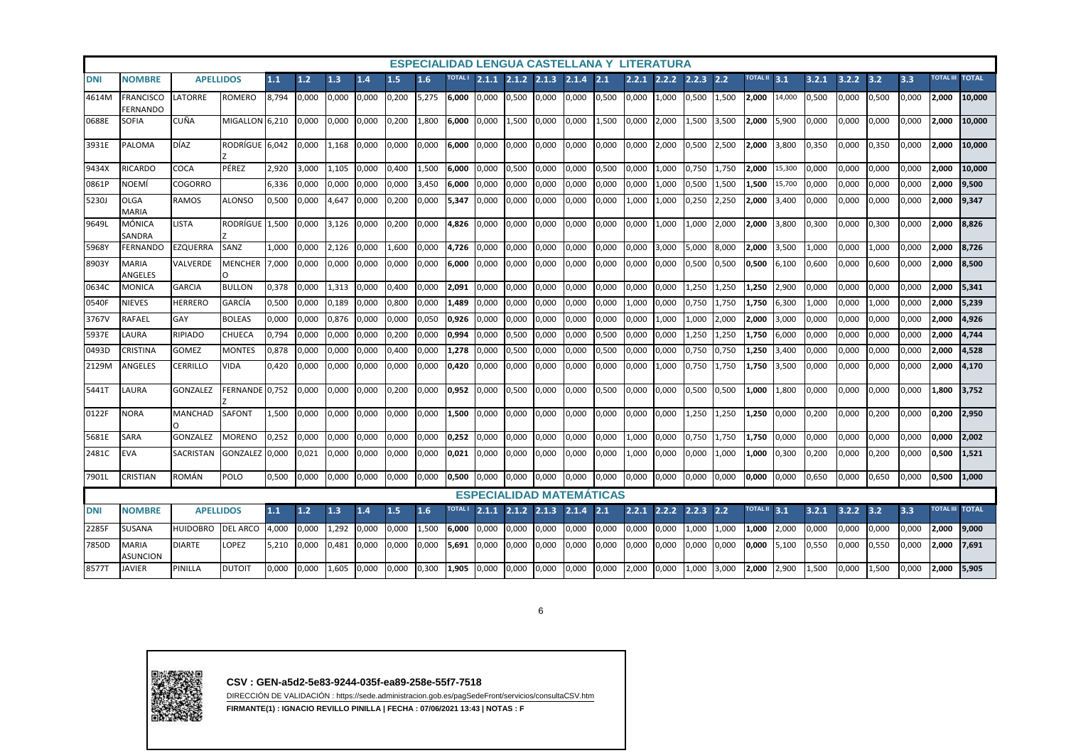| <b>ESPECIALIDAD LENGUA CASTELLANA Y LITERATURA</b><br><b>TOTAL I</b><br><b>TOTAL II</b> 3.1<br>3.3<br>TOTAL III TOTAL<br>1.1<br>1.2<br>1.3<br>1.6<br>$2.1.1$ $2.1.2$ $2.1.3$<br>2.1.4<br>2.1<br>2.2.1<br>2.2.2<br>2.2.3<br>2.2<br>3.2.1<br>3.2.2<br>3.2<br><b>DNI</b><br><b>APELLIDOS</b><br>1.4<br>1.5<br><b>NOMBRE</b> |                              |                  |                 |       |       |       |       |       |       |                |       |       |                                 |       |       |       |       |       |       |                 |        |       |       |       |       |                        |        |
|--------------------------------------------------------------------------------------------------------------------------------------------------------------------------------------------------------------------------------------------------------------------------------------------------------------------------|------------------------------|------------------|-----------------|-------|-------|-------|-------|-------|-------|----------------|-------|-------|---------------------------------|-------|-------|-------|-------|-------|-------|-----------------|--------|-------|-------|-------|-------|------------------------|--------|
|                                                                                                                                                                                                                                                                                                                          |                              |                  |                 |       |       |       |       |       |       |                |       |       |                                 |       |       |       |       |       |       |                 |        |       |       |       |       |                        |        |
| 4614M                                                                                                                                                                                                                                                                                                                    | <b>FRANCISCO</b><br>FERNANDO | LATORRE          | <b>ROMERO</b>   | 8,794 | 0,000 | 0,000 | 0.000 | 0,200 | 5,275 | 6,000          | 0,000 | 0,500 | 0,000                           | 0,000 | 0,500 | 0,000 | 1,000 | 0,500 | 1,500 | 2.000           | 14,000 | 0,500 | 0,000 | 0,500 | 0,000 | 2,000                  | 10,000 |
| 0688E                                                                                                                                                                                                                                                                                                                    | SOFIA                        | CUÑA             | MIGALLON 6.210  |       | 0,000 | 0.000 | 0.000 | 0.200 | 1,800 | 6.000          | 0.000 | 1,500 | 0.000                           | 0,000 | 1,500 | 0,000 | 2.000 | .500  | 3,500 | 2.000           | 5,900  | 0,000 | 0,000 | 0.000 | 0.000 | 2,000                  | 10.000 |
| 3931E                                                                                                                                                                                                                                                                                                                    | <b>PALOMA</b>                | <b>DÍAZ</b>      | RODRÍGUE 6,042  |       | 0,000 | 1,168 | 0,000 | 0,000 | 0,000 | 6,000          | 0,000 | 0,000 | 0,000                           | 0,000 | 0,000 | 0,000 | 2,000 | 0,500 | 2,500 | 2,000           | 3,800  | 0,350 | 0,000 | 0,350 | 0,000 | 2,000                  | 10,000 |
| 9434X                                                                                                                                                                                                                                                                                                                    | <b>RICARDO</b>               | COCA             | PÉREZ           | 2,920 | 3,000 | 1,105 | 0,000 | 0.400 | 1,500 | 6,000          | 0,000 | 0,500 | 0,000                           | 0,000 | 0,500 | 0,000 | 1.000 | 0,750 | 1,750 | 2.000           | 15,300 | 0,000 | 0,000 | 0,000 | 0,000 | 2,000                  | 10,000 |
| 0861P                                                                                                                                                                                                                                                                                                                    | NOEMÍ                        | <b>COGORRO</b>   |                 | 6,336 | 0,000 | 0,000 | 0,000 | 0,000 | 3,450 | 6,000          | 0,000 | 0,000 | 0,000                           | 0,000 | 0,000 | 0,000 | 1,000 | 0,500 | 1,500 | 1,500           | 15,700 | 0,000 | 0,000 | 0,000 | 0,000 | 2,000                  | 9,500  |
| 5230J                                                                                                                                                                                                                                                                                                                    | <b>OLGA</b><br><b>MARIA</b>  | <b>RAMOS</b>     | <b>ALONSO</b>   | 0,500 | 0,000 | 4,647 | 0,000 | 0,200 | 0,000 | 5,347          | 0,000 | 0,000 | 0,000                           | 0,000 | 0,000 | 1,000 | 1,000 | 0,250 | 2,250 | 2,000           | 3,400  | 0,000 | 0,000 | 0,000 | 0,000 | 2,000                  | 9,347  |
| 9649L                                                                                                                                                                                                                                                                                                                    | <b>MÓNICA</b><br>SANDRA      | LISTA            | RODRÍGUE I      | 1.500 | 0.000 | 3.126 | 0.000 | 0.200 | 0.000 | 4.826          | 0.000 | 0.000 | 0.000                           | 0.000 | 0.000 | 0.000 | 1.000 | 1.000 | 2.000 | 2.000           | 3.800  | 0,300 | 0.000 | 0.300 | 0.000 | 2,000                  | 8.826  |
| 5968Y                                                                                                                                                                                                                                                                                                                    | <b>FERNANDO</b>              | EZQUERRA         | SANZ            | 1.000 | 0.000 | 2.126 | 0.000 | 1.600 | 0.000 | 4,726          | 0.000 | 0,000 | 0.000                           | 0,000 | 0.000 | 0.000 | 3,000 | 5,000 | 8,000 | 2.000           | 3,500  | 1.000 | 0.000 | 1.000 | 0.000 | 2,000                  | 8.726  |
| 8903Y                                                                                                                                                                                                                                                                                                                    | <b>MARIA</b><br>ANGELES      | VALVERDE         | <b>MENCHER</b>  | 7,000 | 0,000 | 0,000 | 0.000 | 0,000 | 0,000 | 6,000          | 0,000 | 0,000 | 0,000                           | 0,000 | 0,000 | 0,000 | 0,000 | 0,500 | 0,500 | 0,500           | 6,100  | 0,600 | 0,000 | 0,600 | 0,000 | 2,000                  | 8,500  |
| 0634C                                                                                                                                                                                                                                                                                                                    | <b>MONICA</b>                | <b>GARCIA</b>    | <b>BULLON</b>   | 0,378 | 0,000 | 1,313 | 0,000 | 0.400 | 0,000 | 2,091          | 0,000 | 0,000 | 0,000                           | 0,000 | 0,000 | 0,000 | 0,000 | L,250 | 1,250 | 1,250           | 2,900  | 0,000 | 0,000 | 0,000 | 0,000 | 2,000                  | 5,341  |
| 0540F                                                                                                                                                                                                                                                                                                                    | NIEVES                       | <b>HERRERO</b>   | GARCIA          | 0,500 | 0,000 | 0,189 | 0,000 | 0,800 | 0,000 | 1,489          | 0,000 | 0,000 | 0,000                           | 0,000 | 0,000 | 1,000 | 0,000 | 0,750 | 1,750 | 1,750           | 6,300  | 1,000 | 0,000 | 1,000 | 0,000 | 2,000                  | 5,239  |
| 3767V                                                                                                                                                                                                                                                                                                                    | RAFAEL                       | GAY              | <b>BOLEAS</b>   | 0,000 | 0,000 | 0,876 | 0,000 | 0,000 | 0,050 | 0,926          | 0,000 | 0,000 | 0,000                           | 0,000 | 0,000 | 0,000 | 1,000 | L,000 | 2,000 | 2,000           | 3,000  | 0,000 | 0,000 | 0,000 | 0,000 | 2,000                  | 4,926  |
| 5937E                                                                                                                                                                                                                                                                                                                    | LAURA                        | RIPIADO          | CHUECA          | 0.794 | 0,000 | 0,000 | 0.000 | 0.200 | 0,000 | 0,994          | 0,000 | 0,500 | 0,000                           | 0,000 | 0,500 | 0,000 | 0,000 | .,250 | 1,250 | 1,750           | 6,000  | 0,000 | 0,000 | 0.000 | 0,000 | 2,000                  | 4,744  |
| 0493D                                                                                                                                                                                                                                                                                                                    | <b>CRISTINA</b>              | <b>GOMEZ</b>     | MONTES          | 0.878 | 0,000 | 0,000 | 0,000 | 0.400 | 0,000 | 1,278          | 0.000 | 0,500 | 0,000                           | 0,000 | 0,500 | 0,000 | 0,000 | 0.750 | 0,750 | 1,250           | 3,400  | 0,000 | 0,000 | 0,000 | 0,000 | 2,000                  | 4,528  |
| 2129M                                                                                                                                                                                                                                                                                                                    | ANGELES                      | <b>CERRILLO</b>  | VIDA            | 0,420 | 0,000 | 0,000 | 0.000 | 0.000 | 0,000 | 0,420          | 0.000 | 0,000 | 0.000                           | 0,000 | 0.000 | 0,000 | 1,000 | 0.750 | 1,750 | 1,750           | 3,500  | 0,000 | 0,000 | 0,000 | 0,000 | 2,000                  | 4,170  |
| 5441T                                                                                                                                                                                                                                                                                                                    | LAURA                        | <b>GONZALEZ</b>  | FERNANDE 0,752  |       | 0,000 | 0,000 | 0,000 | 0,200 | 0,000 | 0,952          | 0,000 | 0,500 | 0,000                           | 0,000 | 0,500 | 0,000 | 0,000 | 0,500 | 0,500 | 1,000           | 1,800  | 0,000 | 0,000 | 0,000 | 0,000 | 1,800                  | 3,752  |
| 0122F                                                                                                                                                                                                                                                                                                                    | NORA                         | <b>MANCHAD</b>   | SAFONT          | 1,500 | 0,000 | 0.000 | 0.000 | 0.000 | 0,000 | 1.500          | 0.000 | 0,000 | 0.000                           | 0,000 | 0.000 | 0.000 | 0,000 | L,250 | 1,250 | 1.250           | 0,000  | 0,200 | 0,000 | 0.200 | 0.000 | 0,200                  | 2,950  |
| 5681E                                                                                                                                                                                                                                                                                                                    | SARA                         | GONZALEZ         | <b>MORENO</b>   | 0,252 | 0,000 | 0,000 | 0,000 | 0,000 | 0,000 | 0,252          | 0,000 | 0,000 | 0,000                           | 0,000 | 0,000 | 1,000 | 0,000 | 0,750 | 1,750 | 1,750           | 0,000  | 0,000 | 0,000 | 0,000 | 0,000 | 0,000                  | 2,002  |
| 2481C                                                                                                                                                                                                                                                                                                                    | <b>EVA</b>                   | <b>SACRISTAN</b> | GONZALEZ 0,000  |       | 0,021 | 0,000 | 0.000 | 0,000 | 0,000 | 0,021          | 0,000 | 0,000 | 0,000                           | 0,000 | 0,000 | 1,000 | 0,000 | 0,000 | 1,000 | 1.000           | 0,300  | 0,200 | 0,000 | 0,200 | 0,000 | 0,500                  | 1,521  |
| 7901L                                                                                                                                                                                                                                                                                                                    | CRISTIAN                     | ROMÁN            | POLO            | 0,500 | 0,000 | 0,000 | 0,000 | 0,000 | 0,000 | 0,500          | 0,000 | 0,000 | 0,000                           | 0,000 | 0,000 | 0,000 | 0,000 | 0,000 | 0,000 | 0,000           | 0,000  | 0,650 | 0,000 | 0,650 | 0,000 | 0,500                  | 1,000  |
|                                                                                                                                                                                                                                                                                                                          |                              |                  |                 |       |       |       |       |       |       |                |       |       | <b>ESPECIALIDAD MATEMATICAS</b> |       |       |       |       |       |       |                 |        |       |       |       |       |                        |        |
| <b>DNI</b>                                                                                                                                                                                                                                                                                                               | <b>NOMBRE</b>                | <b>APELLIDOS</b> |                 | $1.1$ | 1.2   | 1.3   | 1.4   | 1.5   | 1.6   | <b>TOTAL I</b> | 2.1.1 | 2.1.2 | 2.1.3                           | 2.1.4 | 2.1   | 2.2.1 | 2.2.2 | 2.2.3 | 2.2   | <b>TOTAL II</b> | 3.1    | 3.2.1 | 3.2.2 | 3.2   | 3.3   | <b>TOTAL III TOTAL</b> |        |
| 2285F                                                                                                                                                                                                                                                                                                                    | SUSANA                       | <b>HUIDOBRO</b>  | <b>DEL ARCO</b> | 4,000 | 0,000 | 1,292 | 0,000 | 0,000 | 1,500 | 6,000          | 0,000 | 0,000 | 0,000                           | 0,000 | 0,000 | 0,000 | 0,000 | ,000  | 1,000 | 1,000           | 2,000  | 0,000 | 0,000 | 0,000 | 0,000 | 2,000                  | 9,000  |
| 7850D                                                                                                                                                                                                                                                                                                                    | <b>MARIA</b><br>ASUNCION     | <b>DIARTE</b>    | LOPEZ           | 5,210 | 0,000 | 0.481 | 0.000 | 0,000 | 0,000 | 5,691          | 0.000 | 0,000 | 0,000                           | 0,000 | 0,000 | 0,000 | 0,000 | 0,000 | 0,000 | 0.000           | 5,100  | 0,550 | 0,000 | 0,550 | 0,000 | 2,000                  | 7,691  |
| 8577T                                                                                                                                                                                                                                                                                                                    | <b>JAVIER</b>                | PINILLA          | <b>DUTOIT</b>   | 0,000 | 0,000 | 1,605 | 0,000 | 0,000 | 0,300 | 1,905          | 0,000 | 0,000 | 0,000                           | 0,000 | 0,000 | 2,000 | 0,000 | ,000  | 3,000 | 2,000           | 2,900  | 1,500 | 0,000 | 1,500 | 0,000 | 2,000                  | 5,905  |

6



**CSV : GEN-a5d2-5e83-9244-035f-ea89-258e-55f7-7518**